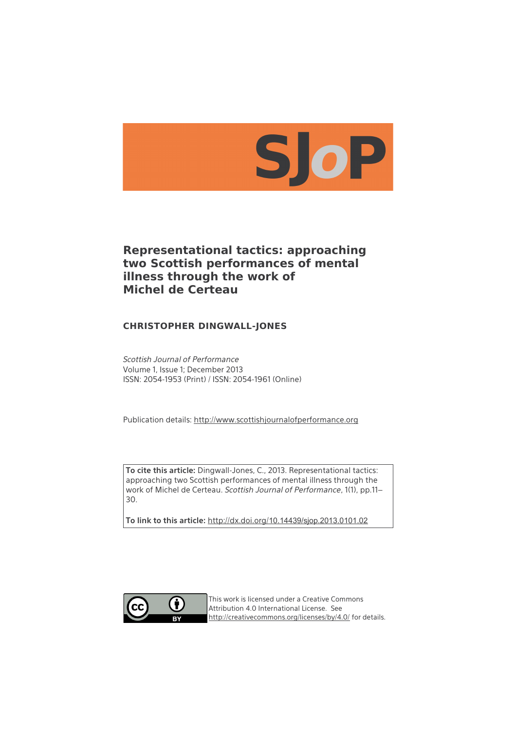

# **Representational tactics: approaching two Scottish performances of mental illness through the work of Michel de Certeau**

### **CHRISTOPHER DINGWALL-JONES**

Scottish Journal of Performance Volume 1, Issue 1; December 2013 ISSN: 2054-1953 (Print) / ISSN: 2054-1961 (Online)

Publication details: [http://www.scottishjournalofperformance.org](http://www.scottishjournalofperformance.org/)

**To cite this article:** Dingwall-Jones, C., 2013. Representational tactics: approaching two Scottish performances of mental illness through the work of Michel de Certeau. Scottish Journal of Performance, 1(1), pp.11– 30.

**To link to this article:** [http://dx.doi.org/](http://dx.doi.org/10.14439/sjop.2013.0101.02)[10.14439/sjop.2013.0101.02](http://dx.doi.org/10.14439/sjop.2013.0101.02)



This work is licensed under a Creative Commons Attribution 4.0 International License. See <http://creativecommons.org/licenses/by/4.0/>for details.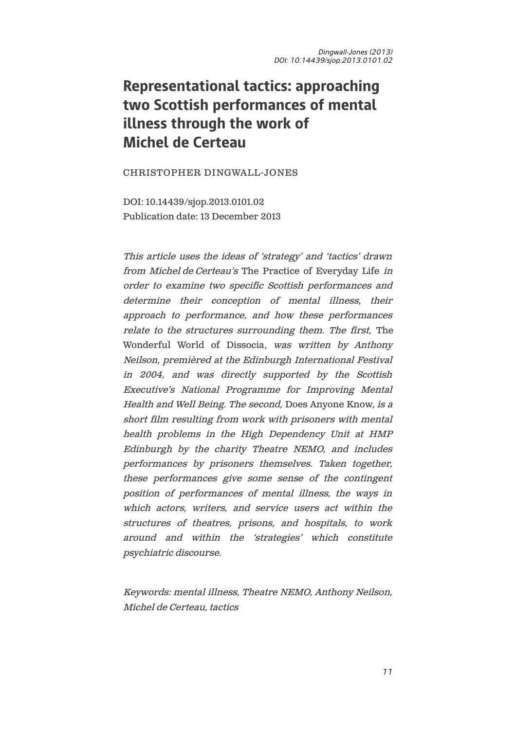# Representational tactics: approaching two Scottish performances of mental illness through the work of Michel de Certeau

CHRISTOPHER DINGWALL-JONES

DOI: 10.14439/sjop.2013.0101.02 Publication date: 13 December 2013

This article uses the ideas of 'strategy' and 'tactics' drawn from Michel de Certeau's The Practice of Everyday Life in order to examine two specific Scottish performances and determine their conception of mental illness, their approach to performance, and how these performances relate to the structures surrounding them. The first, The Wonderful World of Dissocia, was written by Anthony Neilson, premièred at the Edinburgh International Festival in 2004, and was directly supported by the Scottish Executive's National Programme for Improving Mental Health and Well Being. The second, Does Anyone Know, is a short film resulting from work with prisoners with mental health problems in the High Dependency Unit at HMP Edinburgh by the charity Theatre NEMO, and includes performances by prisoners themselves. Taken together, these performances give some sense of the contingent position of performances of mental illness, the ways in which actors, writers, and service users act within the structures of theatres, prisons, and hospitals, to work around and within the 'strategies' which constitute psychiatric discourse.

Keywords: mental illness, Theatre NEMO, Anthony Neilson, Michel de Certeau, tactics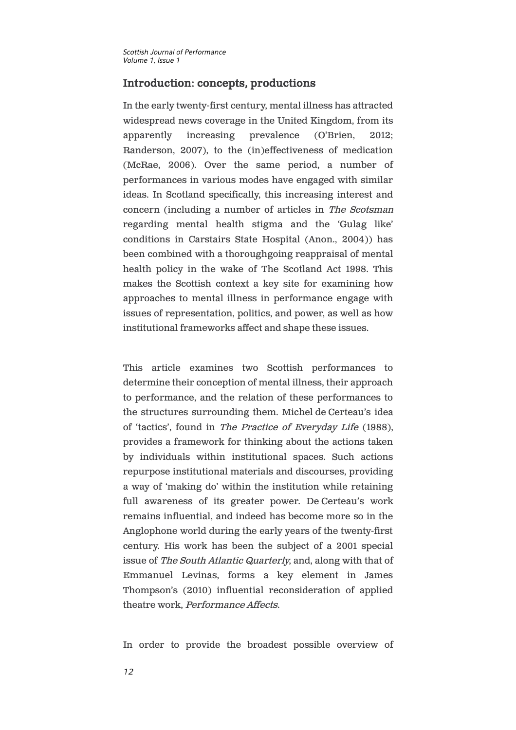### Introduction: concepts, productions

In the early twenty-first century, mental illness has attracted widespread news coverage in the United Kingdom, from its apparently increasing prevalence (O'Brien, 2012; Randerson, 2007), to the (in)effectiveness of medication (McRae, 2006). Over the same period, a number of performances in various modes have engaged with similar ideas. In Scotland specifically, this increasing interest and concern (including a number of articles in The Scotsman regarding mental health stigma and the 'Gulag like' conditions in Carstairs State Hospital (Anon., 2004)) has been combined with a thoroughgoing reappraisal of mental health policy in the wake of The Scotland Act 1998. This makes the Scottish context a key site for examining how approaches to mental illness in performance engage with issues of representation, politics, and power, as well as how institutional frameworks affect and shape these issues.

This article examines two Scottish performances to determine their conception of mental illness, their approach to performance, and the relation of these performances to the structures surrounding them. Michel de Certeau's idea of 'tactics', found in The Practice of Everyday Life (1988), provides a framework for thinking about the actions taken by individuals within institutional spaces. Such actions repurpose institutional materials and discourses, providing a way of 'making do' within the institution while retaining full awareness of its greater power. De Certeau's work remains influential, and indeed has become more so in the Anglophone world during the early years of the twenty-first century. His work has been the subject of a 2001 special issue of The South Atlantic Quarterly, and, along with that of Emmanuel Levinas, forms a key element in James Thompson's (2010) influential reconsideration of applied theatre work, Performance Affects.

In order to provide the broadest possible overview of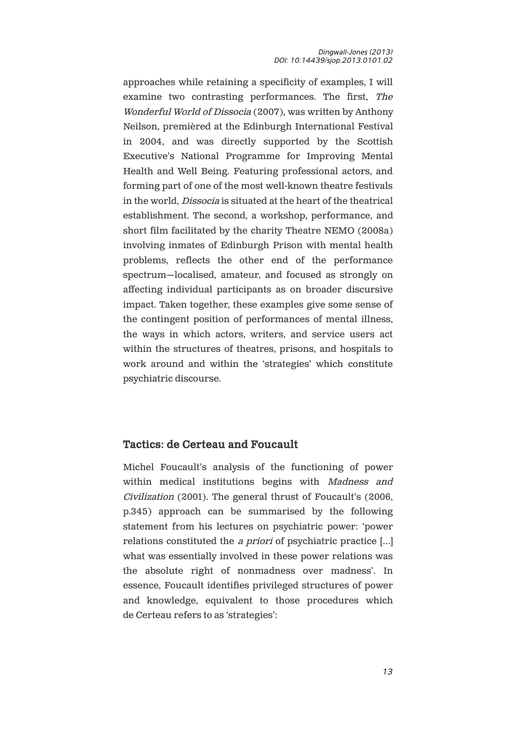approaches while retaining a specificity of examples, I will examine two contrasting performances. The first, The Wonderful World of Dissocia (2007), was written by Anthony Neilson, premièred at the Edinburgh International Festival in 2004, and was directly supported by the Scottish Executive's National Programme for Improving Mental Health and Well Being. Featuring professional actors, and forming part of one of the most well-known theatre festivals in the world, Dissocia is situated at the heart of the theatrical establishment. The second, a workshop, performance, and short film facilitated by the charity Theatre NEMO (2008a) involving inmates of Edinburgh Prison with mental health problems, reflects the other end of the performance spectrum—localised, amateur, and focused as strongly on affecting individual participants as on broader discursive impact. Taken together, these examples give some sense of the contingent position of performances of mental illness, the ways in which actors, writers, and service users act within the structures of theatres, prisons, and hospitals to work around and within the 'strategies' which constitute psychiatric discourse.

### Tactics: de Certeau and Foucault

Michel Foucault's analysis of the functioning of power within medical institutions begins with Madness and Civilization (2001). The general thrust of Foucault's (2006, p.345) approach can be summarised by the following statement from his lectures on psychiatric power: 'power relations constituted the a priori of psychiatric practice […] what was essentially involved in these power relations was the absolute right of nonmadness over madness'. In essence, Foucault identifies privileged structures of power and knowledge, equivalent to those procedures which de Certeau refers to as 'strategies':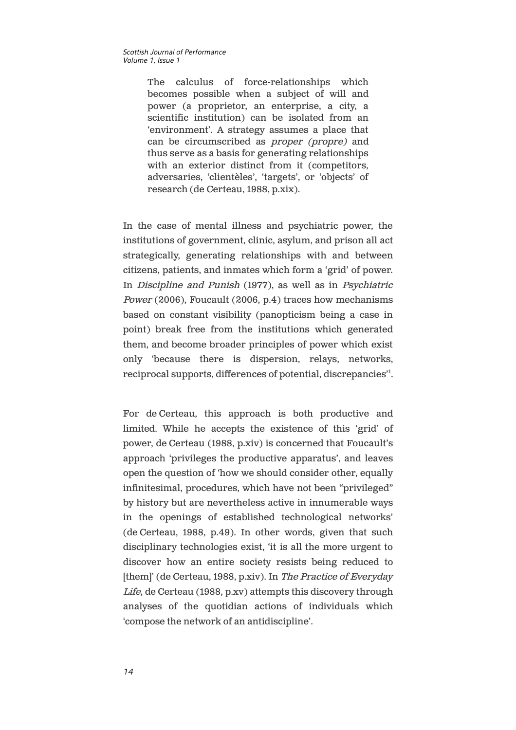The calculus of force-relationships which becomes possible when a subject of will and power (a proprietor, an enterprise, a city, a scientific institution) can be isolated from an 'environment'. A strategy assumes a place that can be circumscribed as proper (propre) and thus serve as a basis for generating relationships with an exterior distinct from it (competitors, adversaries, 'clientèles', 'targets', or 'objects' of research (de Certeau, 1988, p.xix).

In the case of mental illness and psychiatric power, the institutions of government, clinic, asylum, and prison all act strategically, generating relationships with and between citizens, patients, and inmates which form a 'grid' of power. In Discipline and Punish (1977), as well as in Psychiatric Power (2006), Foucault (2006, p.4) traces how mechanisms based on constant visibility (panopticism being a case in point) break free from the institutions which generated them, and become broader principles of power which exist only 'because there is dispersion, relays, networks, reciprocal supports, differences of potential, discrepancies'<sup>1</sup>.

For de Certeau, this approach is both productive and limited. While he accepts the existence of this 'grid' of power, de Certeau (1988, p.xiv) is concerned that Foucault's approach 'privileges the productive apparatus', and leaves open the question of 'how we should consider other, equally infinitesimal, procedures, which have not been "privileged" by history but are nevertheless active in innumerable ways in the openings of established technological networks' (de Certeau, 1988, p.49). In other words, given that such disciplinary technologies exist, 'it is all the more urgent to discover how an entire society resists being reduced to [them]' (de Certeau, 1988, p.xiv). In The Practice of Everyday Life, de Certeau (1988, p.xv) attempts this discovery through analyses of the quotidian actions of individuals which 'compose the network of an antidiscipline'.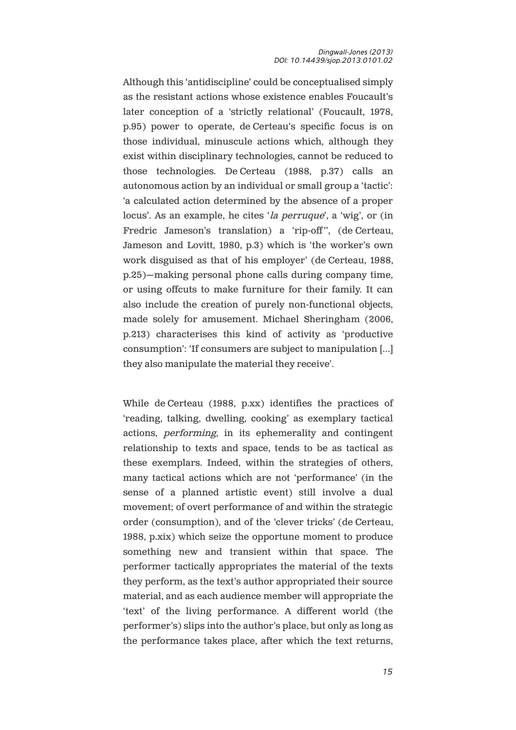Although this 'antidiscipline' could be conceptualised simply as the resistant actions whose existence enables Foucault's later conception of a 'strictly relational' (Foucault, 1978, p.95) power to operate, de Certeau's specific focus is on those individual, minuscule actions which, although they exist within disciplinary technologies, cannot be reduced to those technologies. De Certeau (1988, p.37) calls an autonomous action by an individual or small group a 'tactic': 'a calculated action determined by the absence of a proper locus'. As an example, he cites 'la perruque', a 'wig', or (in Fredric Jameson's translation) a 'rip-off", (de Certeau, Jameson and Lovitt, 1980, p.3) which is 'the worker's own work disguised as that of his employer' (de Certeau, 1988, p.25)—making personal phone calls during company time, or using offcuts to make furniture for their family. It can also include the creation of purely non-functional objects, made solely for amusement. Michael Sheringham (2006, p.213) characterises this kind of activity as 'productive consumption': 'If consumers are subject to manipulation […] they also manipulate the material they receive'.

While de Certeau (1988, p.xx) identifies the practices of 'reading, talking, dwelling, cooking' as exemplary tactical actions, performing, in its ephemerality and contingent relationship to texts and space, tends to be as tactical as these exemplars. Indeed, within the strategies of others, many tactical actions which are not 'performance' (in the sense of a planned artistic event) still involve a dual movement; of overt performance of and within the strategic order (consumption), and of the 'clever tricks' (de Certeau, 1988, p.xix) which seize the opportune moment to produce something new and transient within that space. The performer tactically appropriates the material of the texts they perform, as the text's author appropriated their source material, and as each audience member will appropriate the 'text' of the living performance. A different world (the performer's) slips into the author's place, but only as long as the performance takes place, after which the text returns,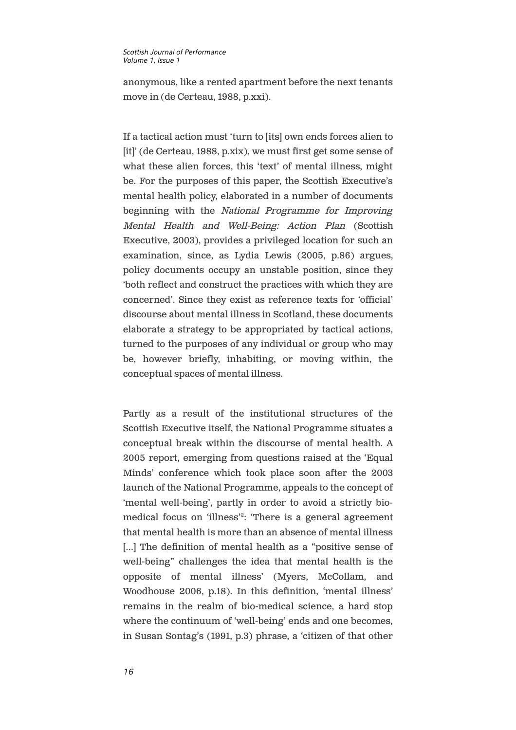anonymous, like a rented apartment before the next tenants move in (de Certeau, 1988, p.xxi).

If a tactical action must 'turn to [its] own ends forces alien to [it]' (de Certeau, 1988, p.xix), we must first get some sense of what these alien forces, this 'text' of mental illness, might be. For the purposes of this paper, the Scottish Executive's mental health policy, elaborated in a number of documents beginning with the National Programme for Improving Mental Health and Well-Being: Action Plan (Scottish Executive, 2003), provides a privileged location for such an examination, since, as Lydia Lewis (2005, p.86) argues, policy documents occupy an unstable position, since they 'both reflect and construct the practices with which they are concerned'. Since they exist as reference texts for 'official' discourse about mental illness in Scotland, these documents elaborate a strategy to be appropriated by tactical actions, turned to the purposes of any individual or group who may be, however briefly, inhabiting, or moving within, the conceptual spaces of mental illness.

Partly as a result of the institutional structures of the Scottish Executive itself, the National Programme situates a conceptual break within the discourse of mental health. A 2005 report, emerging from questions raised at the 'Equal Minds' conference which took place soon after the 2003 launch of the National Programme, appeals to the concept of 'mental well-being', partly in order to avoid a strictly biomedical focus on 'illness'<sup>2</sup> : 'There is a general agreement that mental health is more than an absence of mental illness [...] The definition of mental health as a "positive sense of well-being" challenges the idea that mental health is the opposite of mental illness' (Myers, McCollam, and Woodhouse 2006, p.18). In this definition, 'mental illness' remains in the realm of bio-medical science, a hard stop where the continuum of 'well-being' ends and one becomes, in Susan Sontag's (1991, p.3) phrase, a 'citizen of that other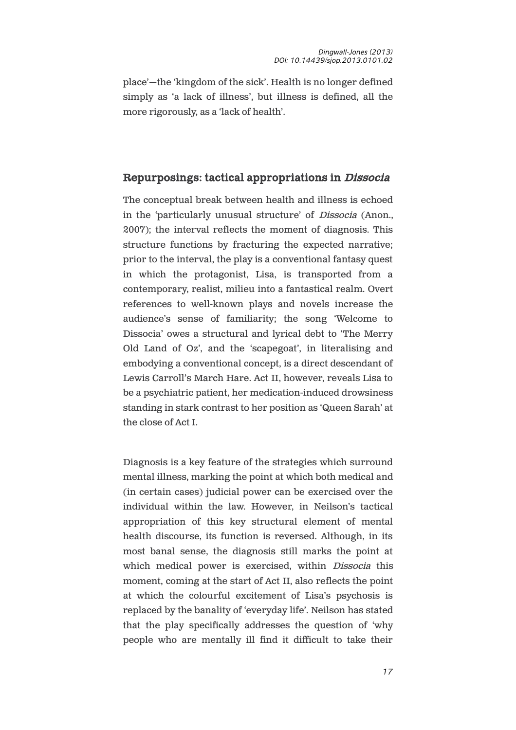place'—the 'kingdom of the sick'. Health is no longer defined simply as 'a lack of illness', but illness is defined, all the more rigorously, as a 'lack of health'.

### Repurposings: tactical appropriations in Dissocia

The conceptual break between health and illness is echoed in the 'particularly unusual structure' of Dissocia (Anon., 2007); the interval reflects the moment of diagnosis. This structure functions by fracturing the expected narrative; prior to the interval, the play is a conventional fantasy quest in which the protagonist, Lisa, is transported from a contemporary, realist, milieu into a fantastical realm. Overt references to well-known plays and novels increase the audience's sense of familiarity; the song 'Welcome to Dissocia' owes a structural and lyrical debt to 'The Merry Old Land of Oz', and the 'scapegoat', in literalising and embodying a conventional concept, is a direct descendant of Lewis Carroll's March Hare. Act II, however, reveals Lisa to be a psychiatric patient, her medication-induced drowsiness standing in stark contrast to her position as 'Queen Sarah' at the close of Act I.

Diagnosis is a key feature of the strategies which surround mental illness, marking the point at which both medical and (in certain cases) judicial power can be exercised over the individual within the law. However, in Neilson's tactical appropriation of this key structural element of mental health discourse, its function is reversed. Although, in its most banal sense, the diagnosis still marks the point at which medical power is exercised, within *Dissocia* this moment, coming at the start of Act II, also reflects the point at which the colourful excitement of Lisa's psychosis is replaced by the banality of 'everyday life'. Neilson has stated that the play specifically addresses the question of 'why people who are mentally ill find it difficult to take their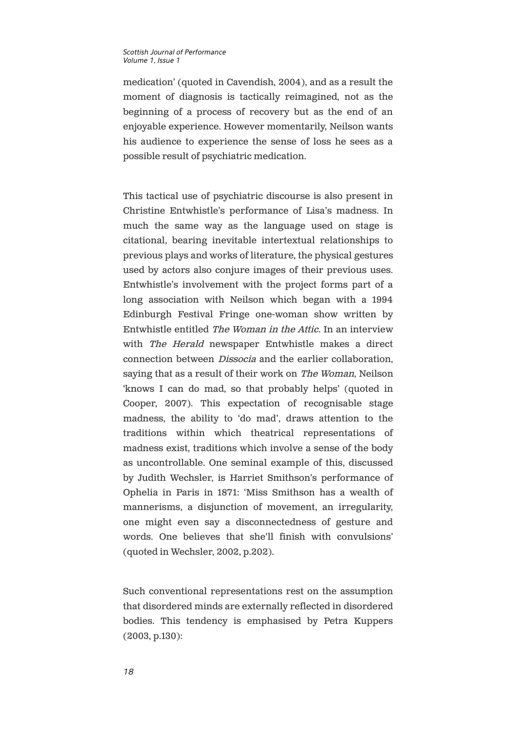medication' (quoted in Cavendish, 2004), and as a result the moment of diagnosis is tactically reimagined, not as the beginning of a process of recovery but as the end of an enjoyable experience. However momentarily, Neilson wants his audience to experience the sense of loss he sees as a possible result of psychiatric medication.

This tactical use of psychiatric discourse is also present in Christine Entwhistle's performance of Lisa's madness. In much the same way as the language used on stage is citational, bearing inevitable intertextual relationships to previous plays and works of literature, the physical gestures used by actors also conjure images of their previous uses. Entwhistle's involvement with the project forms part of a long association with Neilson which began with a 1994 Edinburgh Festival Fringe one-woman show written by Entwhistle entitled The Woman in the Attic. In an interview with The Herald newspaper Entwhistle makes a direct connection between Dissocia and the earlier collaboration, saying that as a result of their work on The Woman, Neilson 'knows I can do mad, so that probably helps' (quoted in Cooper, 2007). This expectation of recognisable stage madness, the ability to 'do mad', draws attention to the traditions within which theatrical representations of madness exist, traditions which involve a sense of the body as uncontrollable. One seminal example of this, discussed by Judith Wechsler, is Harriet Smithson's performance of Ophelia in Paris in 1871: 'Miss Smithson has a wealth of mannerisms, a disjunction of movement, an irregularity, one might even say a disconnectedness of gesture and words. One believes that she'll finish with convulsions' (quoted in Wechsler, 2002, p.202).

Such conventional representations rest on the assumption that disordered minds are externally reflected in disordered bodies. This tendency is emphasised by Petra Kuppers (2003, p.130):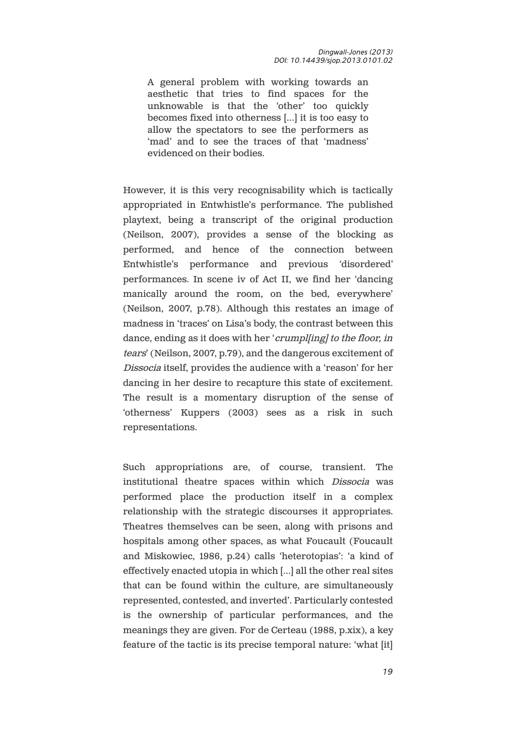A general problem with working towards an aesthetic that tries to find spaces for the unknowable is that the 'other' too quickly becomes fixed into otherness […] it is too easy to allow the spectators to see the performers as 'mad' and to see the traces of that 'madness' evidenced on their bodies.

However, it is this very recognisability which is tactically appropriated in Entwhistle's performance. The published playtext, being a transcript of the original production (Neilson, 2007), provides a sense of the blocking as performed, and hence of the connection between Entwhistle's performance and previous 'disordered' performances. In scene iv of Act II, we find her 'dancing manically around the room, on the bed, everywhere' (Neilson, 2007, p.78). Although this restates an image of madness in 'traces' on Lisa's body, the contrast between this dance, ending as it does with her '*crumpl[ing] to the floor, in* tears' (Neilson, 2007, p.79), and the dangerous excitement of Dissocia itself, provides the audience with a 'reason' for her dancing in her desire to recapture this state of excitement. The result is a momentary disruption of the sense of 'otherness' Kuppers (2003) sees as a risk in such representations.

Such appropriations are, of course, transient. The institutional theatre spaces within which Dissocia was performed place the production itself in a complex relationship with the strategic discourses it appropriates. Theatres themselves can be seen, along with prisons and hospitals among other spaces, as what Foucault (Foucault and Miskowiec, 1986, p.24) calls 'heterotopias': 'a kind of effectively enacted utopia in which […] all the other real sites that can be found within the culture, are simultaneously represented, contested, and inverted'. Particularly contested is the ownership of particular performances, and the meanings they are given. For de Certeau (1988, p.xix), a key feature of the tactic is its precise temporal nature: 'what [it]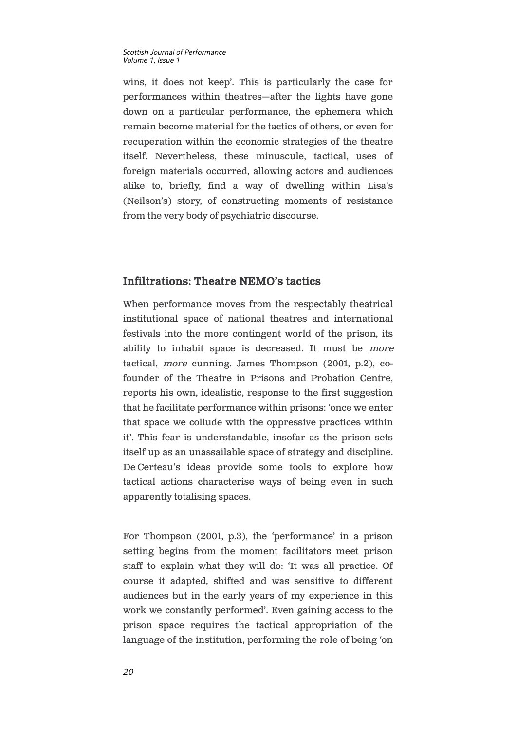wins, it does not keep'. This is particularly the case for performances within theatres—after the lights have gone down on a particular performance, the ephemera which remain become material for the tactics of others, or even for recuperation within the economic strategies of the theatre itself. Nevertheless, these minuscule, tactical, uses of foreign materials occurred, allowing actors and audiences alike to, briefly, find a way of dwelling within Lisa's (Neilson's) story, of constructing moments of resistance from the very body of psychiatric discourse.

### Infiltrations: Theatre NEMO's tactics

When performance moves from the respectably theatrical institutional space of national theatres and international festivals into the more contingent world of the prison, its ability to inhabit space is decreased. It must be more tactical, more cunning. James Thompson (2001, p.2), cofounder of the Theatre in Prisons and Probation Centre, reports his own, idealistic, response to the first suggestion that he facilitate performance within prisons: 'once we enter that space we collude with the oppressive practices within it'. This fear is understandable, insofar as the prison sets itself up as an unassailable space of strategy and discipline. De Certeau's ideas provide some tools to explore how tactical actions characterise ways of being even in such apparently totalising spaces.

For Thompson (2001, p.3), the 'performance' in a prison setting begins from the moment facilitators meet prison staff to explain what they will do: 'It was all practice. Of course it adapted, shifted and was sensitive to different audiences but in the early years of my experience in this work we constantly performed'. Even gaining access to the prison space requires the tactical appropriation of the language of the institution, performing the role of being 'on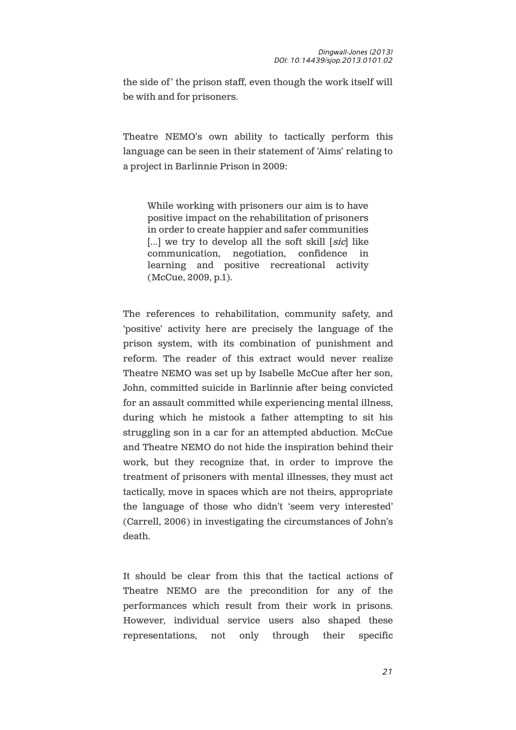the side of' the prison staff, even though the work itself will be with and for prisoners.

Theatre NEMO's own ability to tactically perform this language can be seen in their statement of 'Aims' relating to a project in Barlinnie Prison in 2009:

While working with prisoners our aim is to have positive impact on the rehabilitation of prisoners in order to create happier and safer communities  $[...]$  we try to develop all the soft skill  $[sic]$  like communication, negotiation, confidence in learning and positive recreational activity (McCue, 2009, p.1).

The references to rehabilitation, community safety, and 'positive' activity here are precisely the language of the prison system, with its combination of punishment and reform. The reader of this extract would never realize Theatre NEMO was set up by Isabelle McCue after her son, John, committed suicide in Barlinnie after being convicted for an assault committed while experiencing mental illness, during which he mistook a father attempting to sit his struggling son in a car for an attempted abduction. McCue and Theatre NEMO do not hide the inspiration behind their work, but they recognize that, in order to improve the treatment of prisoners with mental illnesses, they must act tactically, move in spaces which are not theirs, appropriate the language of those who didn't 'seem very interested' (Carrell, 2006) in investigating the circumstances of John's death.

It should be clear from this that the tactical actions of Theatre NEMO are the precondition for any of the performances which result from their work in prisons. However, individual service users also shaped these representations, not only through their specific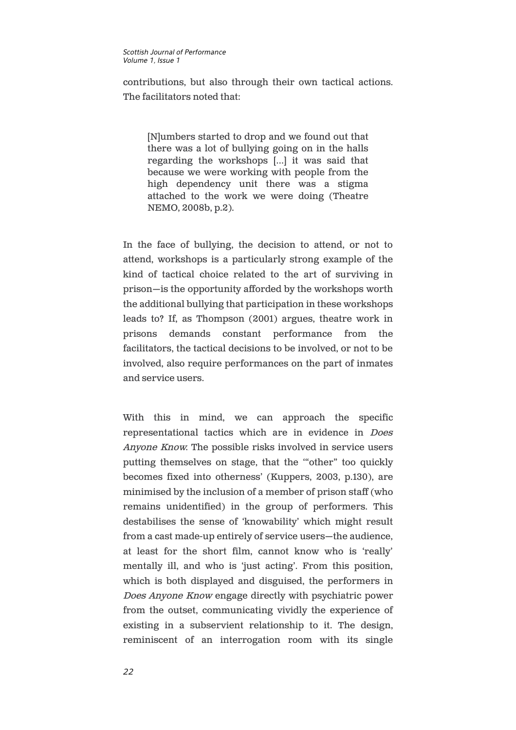contributions, but also through their own tactical actions. The facilitators noted that:

[N]umbers started to drop and we found out that there was a lot of bullying going on in the halls regarding the workshops […] it was said that because we were working with people from the high dependency unit there was a stigma attached to the work we were doing (Theatre NEMO, 2008b, p.2).

In the face of bullying, the decision to attend, or not to attend, workshops is a particularly strong example of the kind of tactical choice related to the art of surviving in prison—is the opportunity afforded by the workshops worth the additional bullying that participation in these workshops leads to? If, as Thompson (2001) argues, theatre work in prisons demands constant performance from the facilitators, the tactical decisions to be involved, or not to be involved, also require performances on the part of inmates and service users.

With this in mind, we can approach the specific representational tactics which are in evidence in Does Anyone Know. The possible risks involved in service users putting themselves on stage, that the '"other" too quickly becomes fixed into otherness' (Kuppers, 2003, p.130), are minimised by the inclusion of a member of prison staff (who remains unidentified) in the group of performers. This destabilises the sense of 'knowability' which might result from a cast made-up entirely of service users—the audience, at least for the short film, cannot know who is 'really' mentally ill, and who is 'just acting'. From this position, which is both displayed and disguised, the performers in Does Anyone Know engage directly with psychiatric power from the outset, communicating vividly the experience of existing in a subservient relationship to it. The design, reminiscent of an interrogation room with its single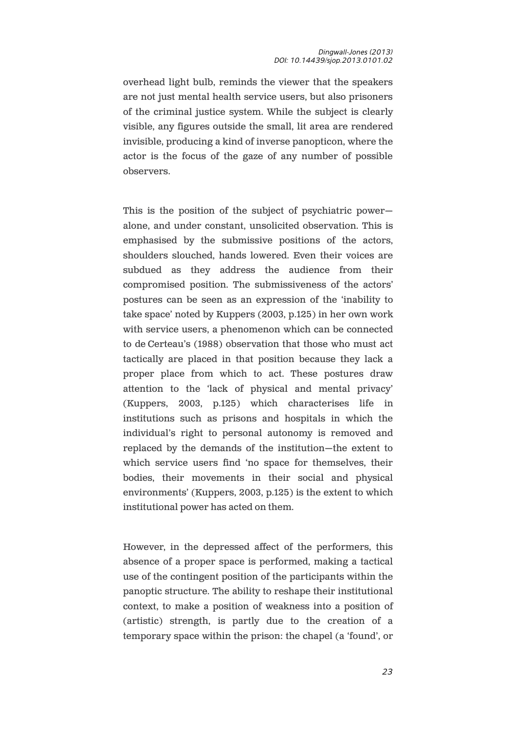overhead light bulb, reminds the viewer that the speakers are not just mental health service users, but also prisoners of the criminal justice system. While the subject is clearly visible, any figures outside the small, lit area are rendered invisible, producing a kind of inverse panopticon, where the actor is the focus of the gaze of any number of possible observers.

This is the position of the subject of psychiatric power alone, and under constant, unsolicited observation. This is emphasised by the submissive positions of the actors, shoulders slouched, hands lowered. Even their voices are subdued as they address the audience from their compromised position. The submissiveness of the actors' postures can be seen as an expression of the 'inability to take space' noted by Kuppers (2003, p.125) in her own work with service users, a phenomenon which can be connected to de Certeau's (1988) observation that those who must act tactically are placed in that position because they lack a proper place from which to act. These postures draw attention to the 'lack of physical and mental privacy' (Kuppers, 2003, p.125) which characterises life in institutions such as prisons and hospitals in which the individual's right to personal autonomy is removed and replaced by the demands of the institution—the extent to which service users find 'no space for themselves, their bodies, their movements in their social and physical environments' (Kuppers, 2003, p.125) is the extent to which institutional power has acted on them.

However, in the depressed affect of the performers, this absence of a proper space is performed, making a tactical use of the contingent position of the participants within the panoptic structure. The ability to reshape their institutional context, to make a position of weakness into a position of (artistic) strength, is partly due to the creation of a temporary space within the prison: the chapel (a 'found', or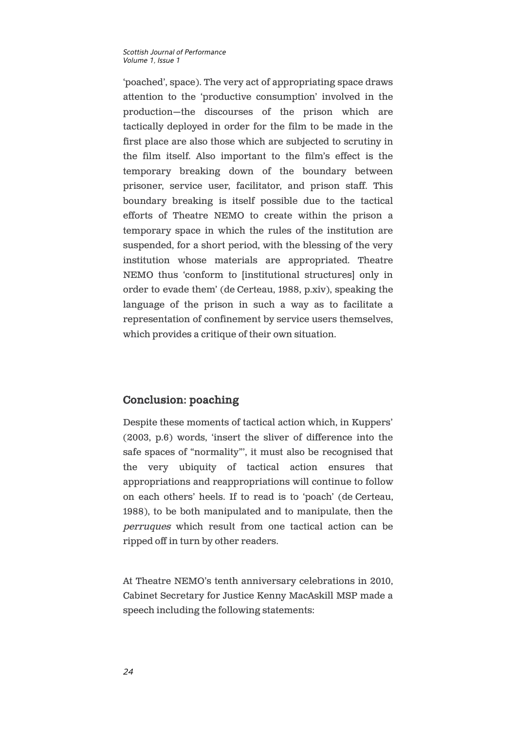'poached', space). The very act of appropriating space draws attention to the 'productive consumption' involved in the production—the discourses of the prison which are tactically deployed in order for the film to be made in the first place are also those which are subjected to scrutiny in the film itself. Also important to the film's effect is the temporary breaking down of the boundary between prisoner, service user, facilitator, and prison staff. This boundary breaking is itself possible due to the tactical efforts of Theatre NEMO to create within the prison a temporary space in which the rules of the institution are suspended, for a short period, with the blessing of the very institution whose materials are appropriated. Theatre NEMO thus 'conform to [institutional structures] only in order to evade them' (de Certeau, 1988, p.xiv), speaking the language of the prison in such a way as to facilitate a representation of confinement by service users themselves, which provides a critique of their own situation.

### Conclusion: poaching

Despite these moments of tactical action which, in Kuppers' (2003, p.6) words, 'insert the sliver of difference into the safe spaces of "normality"', it must also be recognised that the very ubiquity of tactical action ensures that appropriations and reappropriations will continue to follow on each others' heels. If to read is to 'poach' (de Certeau, 1988), to be both manipulated and to manipulate, then the perruques which result from one tactical action can be ripped off in turn by other readers.

At Theatre NEMO's tenth anniversary celebrations in 2010, Cabinet Secretary for Justice Kenny MacAskill MSP made a speech including the following statements: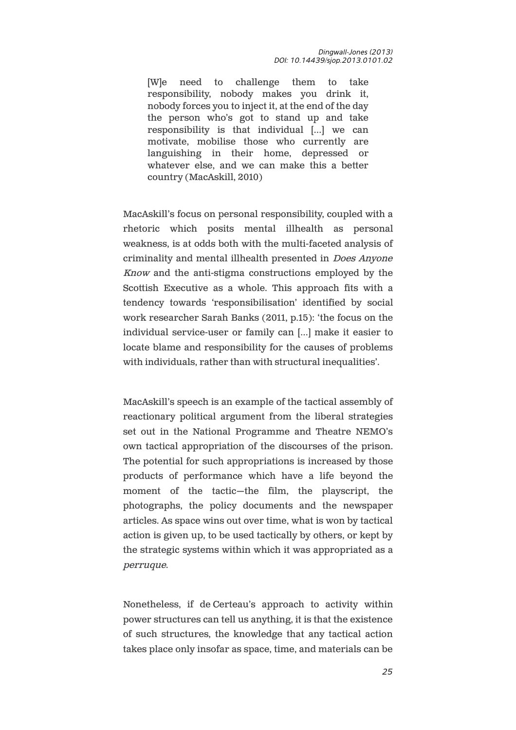[W]e need to challenge them to take responsibility, nobody makes you drink it, nobody forces you to inject it, at the end of the day the person who's got to stand up and take responsibility is that individual […] we can motivate, mobilise those who currently are languishing in their home, depressed or whatever else, and we can make this a better country (MacAskill, 2010)

MacAskill's focus on personal responsibility, coupled with a rhetoric which posits mental illhealth as personal weakness, is at odds both with the multi-faceted analysis of criminality and mental illhealth presented in Does Anyone Know and the anti-stigma constructions employed by the Scottish Executive as a whole. This approach fits with a tendency towards 'responsibilisation' identified by social work researcher Sarah Banks (2011, p.15): 'the focus on the individual service-user or family can […] make it easier to locate blame and responsibility for the causes of problems with individuals, rather than with structural inequalities'.

MacAskill's speech is an example of the tactical assembly of reactionary political argument from the liberal strategies set out in the National Programme and Theatre NEMO's own tactical appropriation of the discourses of the prison. The potential for such appropriations is increased by those products of performance which have a life beyond the moment of the tactic—the film, the playscript, the photographs, the policy documents and the newspaper articles. As space wins out over time, what is won by tactical action is given up, to be used tactically by others, or kept by the strategic systems within which it was appropriated as a perruque.

Nonetheless, if de Certeau's approach to activity within power structures can tell us anything, it is that the existence of such structures, the knowledge that any tactical action takes place only insofar as space, time, and materials can be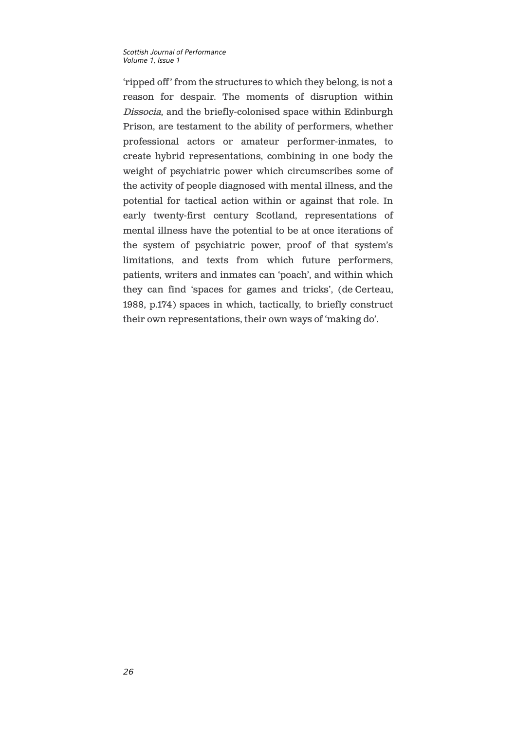'ripped off' from the structures to which they belong, is not a reason for despair. The moments of disruption within Dissocia, and the briefly-colonised space within Edinburgh Prison, are testament to the ability of performers, whether professional actors or amateur performer-inmates, to create hybrid representations, combining in one body the weight of psychiatric power which circumscribes some of the activity of people diagnosed with mental illness, and the potential for tactical action within or against that role. In early twenty-first century Scotland, representations of mental illness have the potential to be at once iterations of the system of psychiatric power, proof of that system's limitations, and texts from which future performers, patients, writers and inmates can 'poach', and within which they can find 'spaces for games and tricks', (de Certeau, 1988, p.174) spaces in which, tactically, to briefly construct their own representations, their own ways of 'making do'.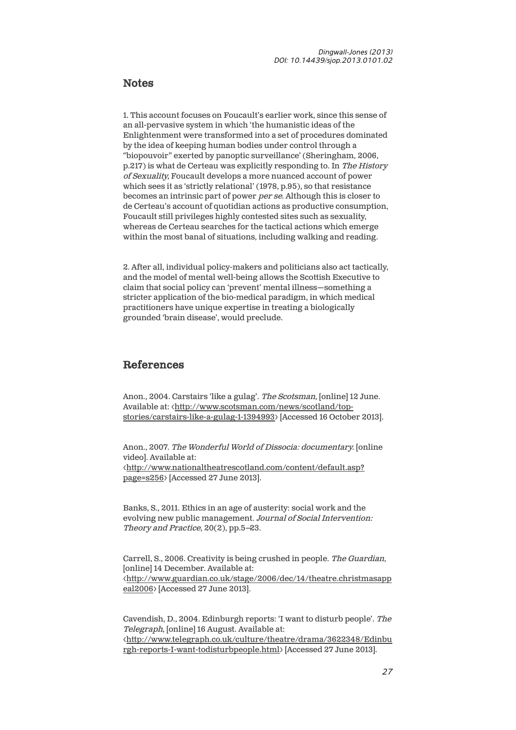### **Notes**

1. This account focuses on Foucault's earlier work, since this sense of an all-pervasive system in which 'the humanistic ideas of the Enlightenment were transformed into a set of procedures dominated by the idea of keeping human bodies under control through a "biopouvoir" exerted by panoptic surveillance' (Sheringham, 2006, p.217) is what de Certeau was explicitly responding to. In The History of Sexuality, Foucault develops a more nuanced account of power which sees it as 'strictly relational' (1978, p.95), so that resistance becomes an intrinsic part of power per se. Although this is closer to de Certeau's account of quotidian actions as productive consumption, Foucault still privileges highly contested sites such as sexuality, whereas de Certeau searches for the tactical actions which emerge within the most banal of situations, including walking and reading.

2. After all, individual policy-makers and politicians also act tactically, and the model of mental well-being allows the Scottish Executive to claim that social policy can 'prevent' mental illness—something a stricter application of the bio-medical paradigm, in which medical practitioners have unique expertise in treating a biologically grounded 'brain disease', would preclude.

### References

Anon., 2004. Carstairs 'like a gulag'. The Scotsman, [online] 12 June. Available at: <http://www.scotsman.com/news/scotland/topstories/carstairs-like-a-gulag-1-1394993> [Accessed 16 October 2013].

Anon., 2007. The Wonderful World of Dissocia: documentary. [online video]. Available at: <http://www.nationaltheatrescotland.com/content/default.asp? page=s256> [Accessed 27 June 2013].

Banks, S., 2011. Ethics in an age of austerity: social work and the evolving new public management. Journal of Social Intervention: Theory and Practice, 20(2), pp.5–23.

Carrell, S., 2006. Creativity is being crushed in people. The Guardian, [online] 14 December. Available at: <http://www.guardian.co.uk/stage/2006/dec/14/theatre.christmasapp eal2006> [Accessed 27 June 2013].

Cavendish, D., 2004. Edinburgh reports: 'I want to disturb people'. The Telegraph, [online] 16 August. Available at: <http://www.telegraph.co.uk/culture/theatre/drama/3622348/Edinbu rgh-reports-I-want-todisturbpeople.html> [Accessed 27 June 2013].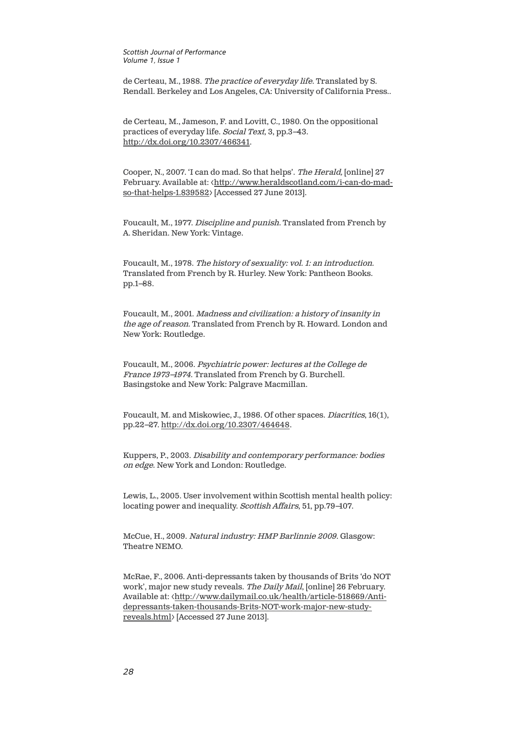de Certeau, M., 1988. The practice of everyday life. Translated by S. Rendall. Berkeley and Los Angeles, CA: University of California Press..

de Certeau, M., Jameson, F. and Lovitt, C., 1980. On the oppositional practices of everyday life. Social Text, 3, pp.3–43. http://dx.doi.org/10.2307/466341.

Cooper, N., 2007. 'I can do mad. So that helps'. The Herald, [online] 27 February. Available at: < http://www.heraldscotland.com/i-can-do-madso-that-helps-1.839582> [Accessed 27 June 2013].

Foucault, M., 1977. Discipline and punish. Translated from French by A. Sheridan. New York: Vintage.

Foucault, M., 1978. The history of sexuality: vol. 1: an introduction. Translated from French by R. Hurley. New York: Pantheon Books. pp.1–88.

Foucault, M., 2001. Madness and civilization: a history of insanity in the age of reason. Translated from French by R. Howard. London and New York: Routledge.

Foucault, M., 2006. Psychiatric power: lectures at the College de France 1973–1974. Translated from French by G. Burchell. Basingstoke and New York: Palgrave Macmillan.

[Foucault, M. and Miskowiec, J., 1986. Of other spaces.](http://www.scotsman.com/news/scotland/top-stories/carstairs-like-a-gulag-1-1394993) Diacritics, 16(1), pp.22–27. http://dx.doi.org/10.2307/464648.

Kuppers, P., 2003. Disability and contemporary performance: bodies on edge[. New York and London: Routledge.](http://www.nationaltheatrescotland.com/content/default.asp?page=s256) 

Lewis, L., 2005. User involvement within Scottish mental health policy: locating power and inequality. Scottish Affairs, 51, pp.79–107.

McCue, H., 2009. Natural industry: HMP Barlinnie 2009. Glasgow: Theatre NEMO.

[McRae, F., 2006. Anti-depressants taken by thousands of Brits 'do NOT](http://www.guardian.co.uk/stage/2006/dec/14/theatre.christmasappeal2006)  [work', m](http://www.guardian.co.uk/stage/2006/dec/14/theatre.christmasappeal2006)ajor new study reveals. The Daily Mail, [online] 26 February. Available at: <http://www.dailymail.co.uk/health/article-518669/Antidepressants-taken-thousands-Brits-NOT-work-major-new-studyreveals.html> [Accessed 27 June 2013].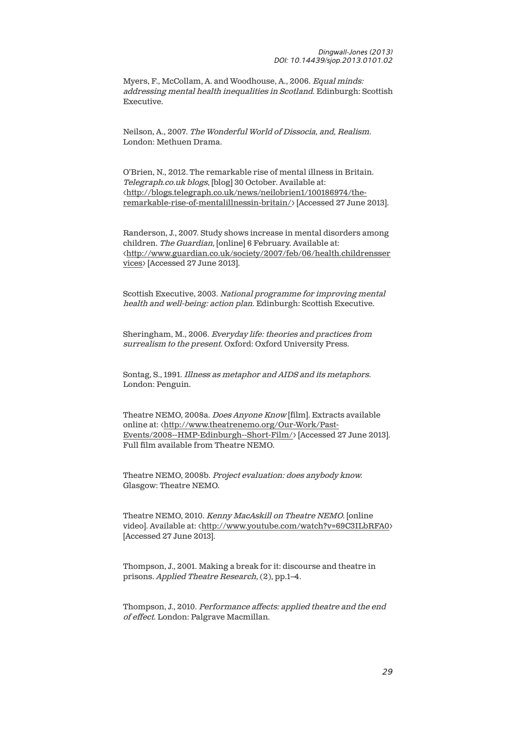Myers, F., McCollam, A. and Woodhouse, A., 2006. Equal minds: addressing mental health inequalities in Scotland. Edinburgh: Scottish Executive.

Neilson, A., 2007. The Wonderful World of Dissocia, and, Realism. [London: Methuen Drama.](http://dx.doi.org/10.2307/466341) 

O'Brien, N., 2012. The remarkable rise of mental illness in Britain. Telegraph.co.uk blogs, [\[blog\] 30 October. Available at:](http://www.heraldscotland.com/i-can-do-mad-so-that-helps-1.839582)  [<http://blogs.telegraph](http://www.heraldscotland.com/i-can-do-mad-so-that-helps-1.839582).co.uk/news/neilobrien1/100186974/theremarkable-rise-of-mentalillnessin-britain/> [Accessed 27 June 2013].

Randerson, J., 2007. Study shows increase in mental disorders among children. The Guardian, [online] 6 February. Available at: <http://www.guardian.co.uk/society/2007/feb/06/health.childrensser vices> [Accessed 27 June 2013].

Scottish Executive, 2003. National programme for improving mental health and well-being: action plan. Edinburgh: Scottish Executive.

Sheringham, M., 2006. Everyday life: theories and practices from surrealism to the present. Oxford: Oxford University Press.

Sontag, S., 1991. Illness as metaphor and AIDS and its metaphors. London: Penguin.

Theatre NEMO, 2008a. Does Anyone Know [film]. Extracts available online at: [<http://www.theatrenemo.org/Our](http://dx.doi.org/10.2307/464648)-Work/Past-Events/2008--HMP-Edinburgh--Short-Film/> [Accessed 27 June 2013]. Full film available from Theatre NEMO.

Theatre NEMO, 2008b. Project evaluation: does anybody know. Glasgow: Theatre NEMO.

Theatre NEMO, 2010. Kenny MacAskill on Theatre NEMO. [online video]. Available at: <http://www.youtube.com/watch?v=69C3ILbRFA0> [Accessed 27 June 2013].

Thompson, J., 2001. Making a break for it: discourse and theatre in prisons. Applied Theatre Research, (2), pp.1–4.

Thompson, J., 2010. [Performance affects: applied theatre and the end](http://www.dailymail.co.uk/health/article-518669/Anti-depressants-taken-thousands-Brits-NOT-work-major-new-study-reveals.html)  [of effect](http://www.dailymail.co.uk/health/article-518669/Anti-depressants-taken-thousands-Brits-NOT-work-major-new-study-reveals.html). London: Palgrave Macmillan.